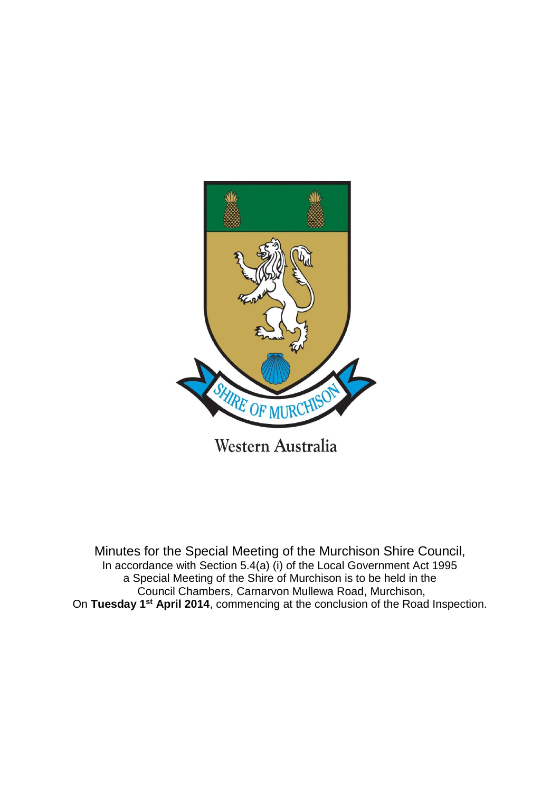

Minutes for the Special Meeting of the Murchison Shire Council, In accordance with Section 5.4(a) (i) of the Local Government Act 1995 a Special Meeting of the Shire of Murchison is to be held in the Council Chambers, Carnarvon Mullewa Road, Murchison,

On **Tuesday 1st April 2014**, commencing at the conclusion of the Road Inspection.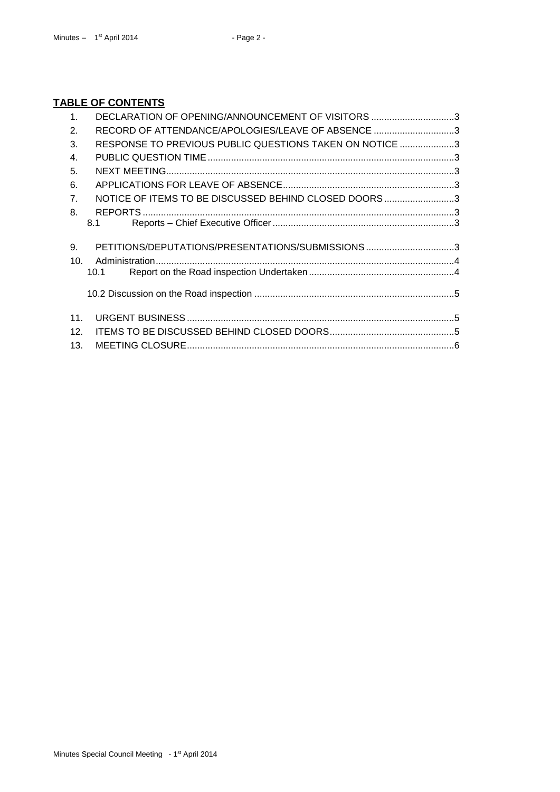## **TABLE OF CONTENTS**

| 1 <sub>1</sub>  | DECLARATION OF OPENING/ANNOUNCEMENT OF VISITORS 3       |  |
|-----------------|---------------------------------------------------------|--|
| 2.              | RECORD OF ATTENDANCE/APOLOGIES/LEAVE OF ABSENCE 3       |  |
| 3.              | RESPONSE TO PREVIOUS PUBLIC QUESTIONS TAKEN ON NOTICE 3 |  |
| $\mathbf{4}$ .  |                                                         |  |
| 5.              |                                                         |  |
| 6.              |                                                         |  |
| 7 <sub>1</sub>  | NOTICE OF ITEMS TO BE DISCUSSED BEHIND CLOSED DOORS3    |  |
| 8.              |                                                         |  |
|                 | 8.1                                                     |  |
| 9.              |                                                         |  |
| 10 <sub>1</sub> |                                                         |  |
|                 |                                                         |  |
|                 |                                                         |  |
| 11.             |                                                         |  |
| 12 <sub>1</sub> |                                                         |  |
| 13.             |                                                         |  |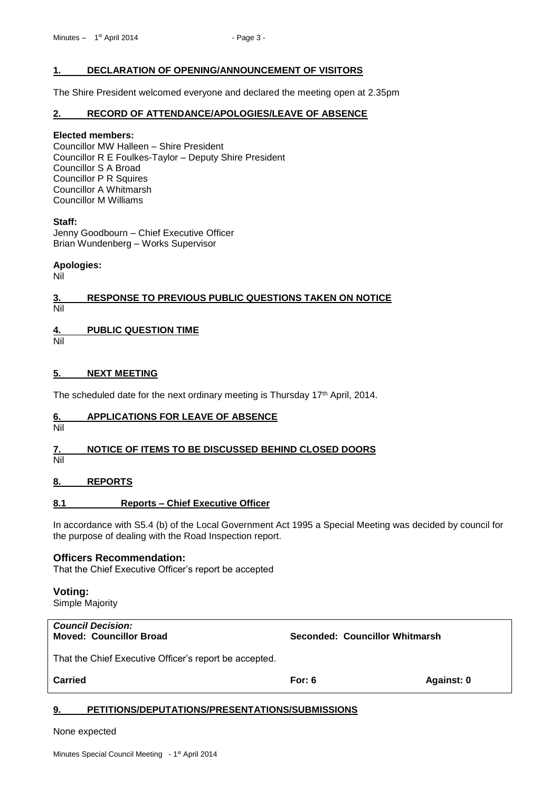## <span id="page-2-0"></span>**1. DECLARATION OF OPENING/ANNOUNCEMENT OF VISITORS**

The Shire President welcomed everyone and declared the meeting open at 2.35pm

## <span id="page-2-1"></span>**2. RECORD OF ATTENDANCE/APOLOGIES/LEAVE OF ABSENCE**

#### **Elected members:**

Councillor MW Halleen – Shire President Councillor R E Foulkes-Taylor – Deputy Shire President Councillor S A Broad Councillor P R Squires Councillor A Whitmarsh Councillor M Williams

## **Staff:**

Jenny Goodbourn – Chief Executive Officer Brian Wundenberg – Works Supervisor

## **Apologies:**

Nil

## <span id="page-2-2"></span>**3. RESPONSE TO PREVIOUS PUBLIC QUESTIONS TAKEN ON NOTICE** Nil

## <span id="page-2-3"></span>**4. PUBLIC QUESTION TIME**

Nil

## <span id="page-2-4"></span>**5. NEXT MEETING**

The scheduled date for the next ordinary meeting is Thursday 17<sup>th</sup> April, 2014.

## <span id="page-2-5"></span>**6. APPLICATIONS FOR LEAVE OF ABSENCE**

Nil

## <span id="page-2-6"></span>**7. NOTICE OF ITEMS TO BE DISCUSSED BEHIND CLOSED DOORS**

Nil

## <span id="page-2-7"></span>**8. REPORTS**

## <span id="page-2-8"></span>**8.1 Reports – Chief Executive Officer**

In accordance with S5.4 (b) of the Local Government Act 1995 a Special Meeting was decided by council for the purpose of dealing with the Road Inspection report.

## **Officers Recommendation:**

That the Chief Executive Officer's report be accepted

## **Voting:**

Simple Majority

*Council Decision:*

**Moved: Councillor Broad Seconded: Councillor Whitmarsh**

That the Chief Executive Officer's report be accepted.

**Carried For: 6 Against: 0**

## <span id="page-2-9"></span>**9. PETITIONS/DEPUTATIONS/PRESENTATIONS/SUBMISSIONS**

None expected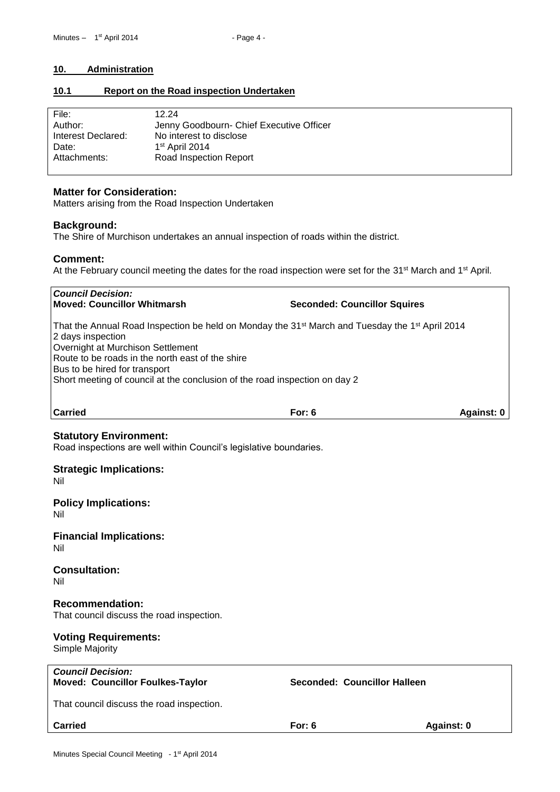## <span id="page-3-0"></span>**10. Administration**

## <span id="page-3-1"></span>**10.1 Report on the Road inspection Undertaken**

| File:              | 12.24                                    |
|--------------------|------------------------------------------|
| Author:            | Jenny Goodbourn- Chief Executive Officer |
| Interest Declared: | No interest to disclose                  |
| Date:              | 1 <sup>st</sup> April 2014               |
| Attachments:       | Road Inspection Report                   |
|                    |                                          |

## **Matter for Consideration:**

Matters arising from the Road Inspection Undertaken

## **Background:**

The Shire of Murchison undertakes an annual inspection of roads within the district.

## **Comment:**

At the February council meeting the dates for the road inspection were set for the 31<sup>st</sup> March and 1<sup>st</sup> April.

*Council Decision:* **Moved: Councillor Whitmarsh Seconded: Councillor Squires**  That the Annual Road Inspection be held on Monday the 31<sup>st</sup> March and Tuesday the 1<sup>st</sup> April 2014 2 days inspection Overnight at Murchison Settlement Route to be roads in the north east of the shire Bus to be hired for transport Short meeting of council at the conclusion of the road inspection on day 2

**Carried For: 6 Against: 0**

## **Statutory Environment:**

Road inspections are well within Council's legislative boundaries.

## **Strategic Implications:**

Nil

#### **Policy Implications:** Nil

**Financial Implications:** Nil

## **Consultation:**

Nil

## **Recommendation:**

That council discuss the road inspection.

## **Voting Requirements:**

Simple Majority

| <b>Council Decision:</b><br><b>Moved: Councillor Foulkes-Taylor</b> | Seconded: Councillor Halleen |            |
|---------------------------------------------------------------------|------------------------------|------------|
| That council discuss the road inspection.                           |                              |            |
| <b>Carried</b>                                                      | For: $6$                     | Against: 0 |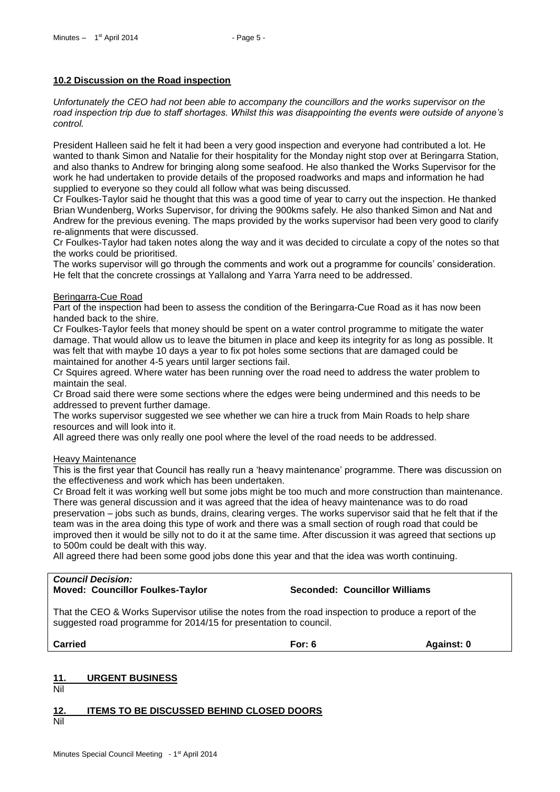## <span id="page-4-0"></span>**10.2 Discussion on the Road inspection**

*Unfortunately the CEO had not been able to accompany the councillors and the works supervisor on the road inspection trip due to staff shortages. Whilst this was disappointing the events were outside of anyone's control.*

President Halleen said he felt it had been a very good inspection and everyone had contributed a lot. He wanted to thank Simon and Natalie for their hospitality for the Monday night stop over at Beringarra Station, and also thanks to Andrew for bringing along some seafood. He also thanked the Works Supervisor for the work he had undertaken to provide details of the proposed roadworks and maps and information he had supplied to everyone so they could all follow what was being discussed.

Cr Foulkes-Taylor said he thought that this was a good time of year to carry out the inspection. He thanked Brian Wundenberg, Works Supervisor, for driving the 900kms safely. He also thanked Simon and Nat and Andrew for the previous evening. The maps provided by the works supervisor had been very good to clarify re-alignments that were discussed.

Cr Foulkes-Taylor had taken notes along the way and it was decided to circulate a copy of the notes so that the works could be prioritised.

The works supervisor will go through the comments and work out a programme for councils' consideration. He felt that the concrete crossings at Yallalong and Yarra Yarra need to be addressed.

#### Beringarra-Cue Road

Part of the inspection had been to assess the condition of the Beringarra-Cue Road as it has now been handed back to the shire.

Cr Foulkes-Taylor feels that money should be spent on a water control programme to mitigate the water damage. That would allow us to leave the bitumen in place and keep its integrity for as long as possible. It was felt that with maybe 10 days a year to fix pot holes some sections that are damaged could be maintained for another 4-5 years until larger sections fail.

Cr Squires agreed. Where water has been running over the road need to address the water problem to maintain the seal.

Cr Broad said there were some sections where the edges were being undermined and this needs to be addressed to prevent further damage.

The works supervisor suggested we see whether we can hire a truck from Main Roads to help share resources and will look into it.

All agreed there was only really one pool where the level of the road needs to be addressed.

#### **Heavy Maintenance**

This is the first year that Council has really run a 'heavy maintenance' programme. There was discussion on the effectiveness and work which has been undertaken.

Cr Broad felt it was working well but some jobs might be too much and more construction than maintenance. There was general discussion and it was agreed that the idea of heavy maintenance was to do road preservation – jobs such as bunds, drains, clearing verges. The works supervisor said that he felt that if the team was in the area doing this type of work and there was a small section of rough road that could be improved then it would be silly not to do it at the same time. After discussion it was agreed that sections up to 500m could be dealt with this way.

All agreed there had been some good jobs done this year and that the idea was worth continuing.

# *Council Decision:*

**Moved: Councillor Foulkes-Taylor Seconded: Councillor Williams**

That the CEO & Works Supervisor utilise the notes from the road inspection to produce a report of the suggested road programme for 2014/15 for presentation to council.

**Carried For: 6 Against: 0**

## <span id="page-4-1"></span>**11. URGENT BUSINESS**

Nil

<span id="page-4-2"></span>**12. ITEMS TO BE DISCUSSED BEHIND CLOSED DOORS**

Nil